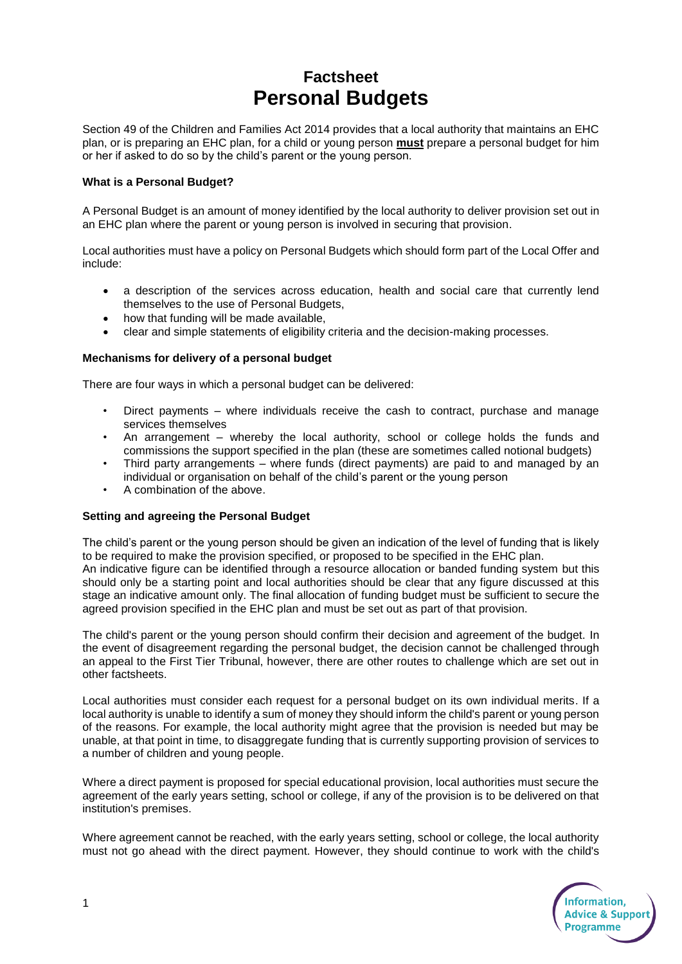# **Factsheet Personal Budgets**

Section 49 of the Children and Families Act 2014 provides that a local authority that maintains an EHC plan, or is preparing an EHC plan, for a child or young person **must** prepare a personal budget for him or her if asked to do so by the child's parent or the young person.

#### **What is a Personal Budget?**

A Personal Budget is an amount of money identified by the local authority to deliver provision set out in an EHC plan where the parent or young person is involved in securing that provision.

Local authorities must have a policy on Personal Budgets which should form part of the Local Offer and include:

- a description of the services across education, health and social care that currently lend themselves to the use of Personal Budgets,
- how that funding will be made available,
- clear and simple statements of eligibility criteria and the decision-making processes.

## **Mechanisms for delivery of a personal budget**

There are four ways in which a personal budget can be delivered:

- Direct payments where individuals receive the cash to contract, purchase and manage services themselves
- An arrangement whereby the local authority, school or college holds the funds and commissions the support specified in the plan (these are sometimes called notional budgets)
- Third party arrangements where funds (direct payments) are paid to and managed by an individual or organisation on behalf of the child's parent or the young person
- A combination of the above.

#### **Setting and agreeing the Personal Budget**

The child's parent or the young person should be given an indication of the level of funding that is likely to be required to make the provision specified, or proposed to be specified in the EHC plan. An indicative figure can be identified through a resource allocation or banded funding system but this should only be a starting point and local authorities should be clear that any figure discussed at this stage an indicative amount only. The final allocation of funding budget must be sufficient to secure the agreed provision specified in the EHC plan and must be set out as part of that provision.

The child's parent or the young person should confirm their decision and agreement of the budget. In the event of disagreement regarding the personal budget, the decision cannot be challenged through an appeal to the First Tier Tribunal, however, there are other routes to challenge which are set out in other factsheets.

Local authorities must consider each request for a personal budget on its own individual merits. If a local authority is unable to identify a sum of money they should inform the child's parent or young person of the reasons. For example, the local authority might agree that the provision is needed but may be unable, at that point in time, to disaggregate funding that is currently supporting provision of services to a number of children and young people.

Where a direct payment is proposed for special educational provision, local authorities must secure the agreement of the early years setting, school or college, if any of the provision is to be delivered on that institution's premises.

Where agreement cannot be reached, with the early years setting, school or college, the local authority must not go ahead with the direct payment. However, they should continue to work with the child's